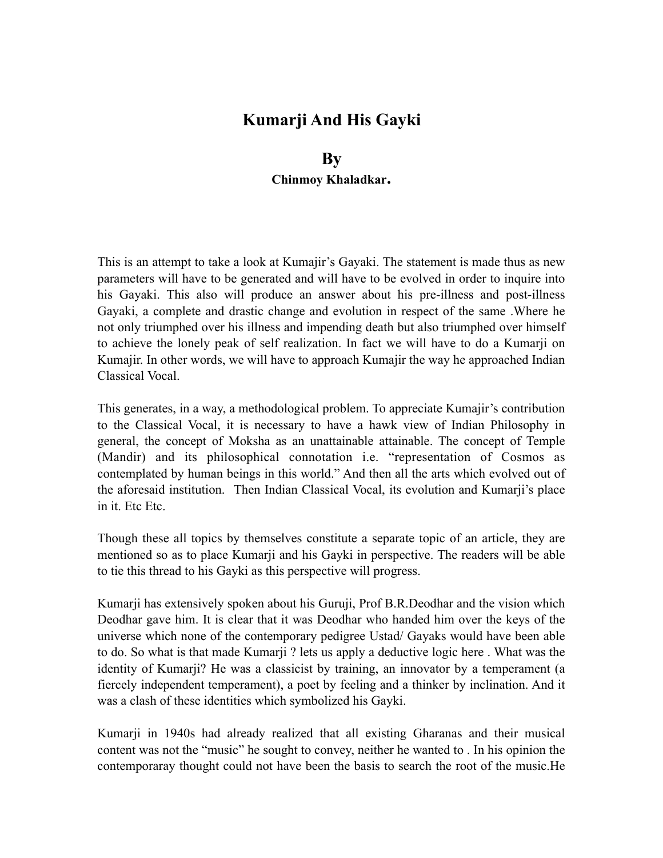## **Kumarji And His Gayki**

## **By**

## **Chinmoy Khaladkar.**

This is an attempt to take a look at Kumajir's Gayaki. The statement is made thus as new parameters will have to be generated and will have to be evolved in order to inquire into his Gayaki. This also will produce an answer about his pre-illness and post-illness Gayaki, a complete and drastic change and evolution in respect of the same .Where he not only triumphed over his illness and impending death but also triumphed over himself to achieve the lonely peak of self realization. In fact we will have to do a Kumarji on Kumajir. In other words, we will have to approach Kumajir the way he approached Indian Classical Vocal.

This generates, in a way, a methodological problem. To appreciate Kumajir's contribution to the Classical Vocal, it is necessary to have a hawk view of Indian Philosophy in general, the concept of Moksha as an unattainable attainable. The concept of Temple (Mandir) and its philosophical connotation i.e. "representation of Cosmos as contemplated by human beings in this world." And then all the arts which evolved out of the aforesaid institution. Then Indian Classical Vocal, its evolution and Kumarji's place in it. Etc Etc.

Though these all topics by themselves constitute a separate topic of an article, they are mentioned so as to place Kumarji and his Gayki in perspective. The readers will be able to tie this thread to his Gayki as this perspective will progress.

Kumarji has extensively spoken about his Guruji, Prof B.R.Deodhar and the vision which Deodhar gave him. It is clear that it was Deodhar who handed him over the keys of the universe which none of the contemporary pedigree Ustad/ Gayaks would have been able to do. So what is that made Kumarji ? lets us apply a deductive logic here . What was the identity of Kumarji? He was a classicist by training, an innovator by a temperament (a fiercely independent temperament), a poet by feeling and a thinker by inclination. And it was a clash of these identities which symbolized his Gayki.

Kumarji in 1940s had already realized that all existing Gharanas and their musical content was not the "music" he sought to convey, neither he wanted to . In his opinion the contemporaray thought could not have been the basis to search the root of the music.He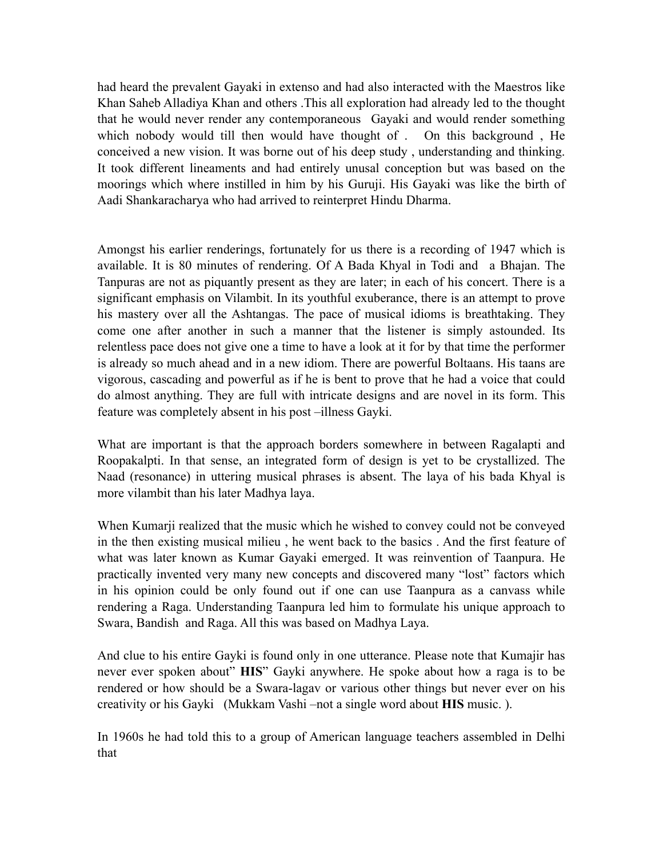had heard the prevalent Gayaki in extenso and had also interacted with the Maestros like Khan Saheb Alladiya Khan and others .This all exploration had already led to the thought that he would never render any contemporaneous Gayaki and would render something which nobody would till then would have thought of . On this background, He conceived a new vision. It was borne out of his deep study , understanding and thinking. It took different lineaments and had entirely unusal conception but was based on the moorings which where instilled in him by his Guruji. His Gayaki was like the birth of Aadi Shankaracharya who had arrived to reinterpret Hindu Dharma.

Amongst his earlier renderings, fortunately for us there is a recording of 1947 which is available. It is 80 minutes of rendering. Of A Bada Khyal in Todi and a Bhajan. The Tanpuras are not as piquantly present as they are later; in each of his concert. There is a significant emphasis on Vilambit. In its youthful exuberance, there is an attempt to prove his mastery over all the Ashtangas. The pace of musical idioms is breathtaking. They come one after another in such a manner that the listener is simply astounded. Its relentless pace does not give one a time to have a look at it for by that time the performer is already so much ahead and in a new idiom. There are powerful Boltaans. His taans are vigorous, cascading and powerful as if he is bent to prove that he had a voice that could do almost anything. They are full with intricate designs and are novel in its form. This feature was completely absent in his post –illness Gayki.

What are important is that the approach borders somewhere in between Ragalapti and Roopakalpti. In that sense, an integrated form of design is yet to be crystallized. The Naad (resonance) in uttering musical phrases is absent. The laya of his bada Khyal is more vilambit than his later Madhya laya.

When Kumarji realized that the music which he wished to convey could not be conveyed in the then existing musical milieu , he went back to the basics . And the first feature of what was later known as Kumar Gayaki emerged. It was reinvention of Taanpura. He practically invented very many new concepts and discovered many "lost" factors which in his opinion could be only found out if one can use Taanpura as a canvass while rendering a Raga. Understanding Taanpura led him to formulate his unique approach to Swara, Bandish and Raga. All this was based on Madhya Laya.

And clue to his entire Gayki is found only in one utterance. Please note that Kumajir has never ever spoken about" **HIS**" Gayki anywhere. He spoke about how a raga is to be rendered or how should be a Swara-lagav or various other things but never ever on his creativity or his Gayki (Mukkam Vashi –not a single word about **HIS** music. ).

In 1960s he had told this to a group of American language teachers assembled in Delhi that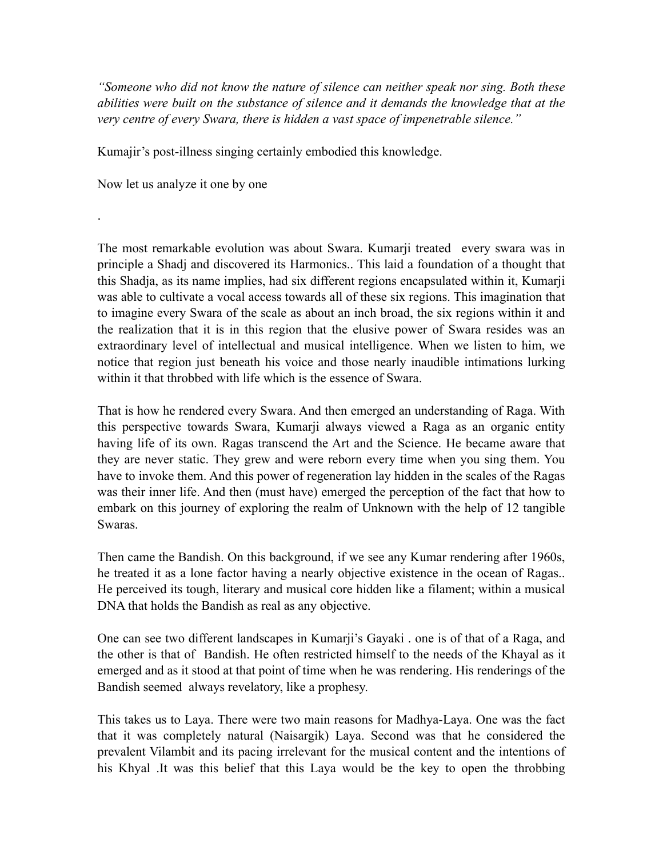*"Someone who did not know the nature of silence can neither speak nor sing. Both these abilities were built on the substance of silence and it demands the knowledge that at the very centre of every Swara, there is hidden a vast space of impenetrable silence."* 

Kumajir's post-illness singing certainly embodied this knowledge.

Now let us analyze it one by one

.

The most remarkable evolution was about Swara. Kumarji treated every swara was in principle a Shadj and discovered its Harmonics.. This laid a foundation of a thought that this Shadja, as its name implies, had six different regions encapsulated within it, Kumarji was able to cultivate a vocal access towards all of these six regions. This imagination that to imagine every Swara of the scale as about an inch broad, the six regions within it and the realization that it is in this region that the elusive power of Swara resides was an extraordinary level of intellectual and musical intelligence. When we listen to him, we notice that region just beneath his voice and those nearly inaudible intimations lurking within it that throbbed with life which is the essence of Swara.

That is how he rendered every Swara. And then emerged an understanding of Raga. With this perspective towards Swara, Kumarji always viewed a Raga as an organic entity having life of its own. Ragas transcend the Art and the Science. He became aware that they are never static. They grew and were reborn every time when you sing them. You have to invoke them. And this power of regeneration lay hidden in the scales of the Ragas was their inner life. And then (must have) emerged the perception of the fact that how to embark on this journey of exploring the realm of Unknown with the help of 12 tangible Swaras.

Then came the Bandish. On this background, if we see any Kumar rendering after 1960s, he treated it as a lone factor having a nearly objective existence in the ocean of Ragas.. He perceived its tough, literary and musical core hidden like a filament; within a musical DNA that holds the Bandish as real as any objective.

One can see two different landscapes in Kumarji's Gayaki . one is of that of a Raga, and the other is that of Bandish. He often restricted himself to the needs of the Khayal as it emerged and as it stood at that point of time when he was rendering. His renderings of the Bandish seemed always revelatory, like a prophesy.

This takes us to Laya. There were two main reasons for Madhya-Laya. One was the fact that it was completely natural (Naisargik) Laya. Second was that he considered the prevalent Vilambit and its pacing irrelevant for the musical content and the intentions of his Khyal .It was this belief that this Laya would be the key to open the throbbing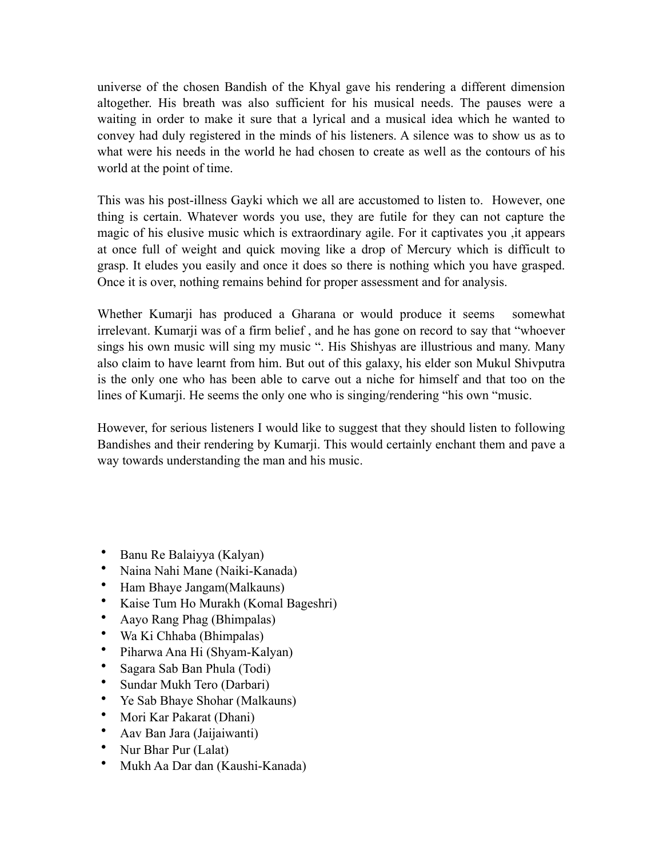universe of the chosen Bandish of the Khyal gave his rendering a different dimension altogether. His breath was also sufficient for his musical needs. The pauses were a waiting in order to make it sure that a lyrical and a musical idea which he wanted to convey had duly registered in the minds of his listeners. A silence was to show us as to what were his needs in the world he had chosen to create as well as the contours of his world at the point of time.

This was his post-illness Gayki which we all are accustomed to listen to. However, one thing is certain. Whatever words you use, they are futile for they can not capture the magic of his elusive music which is extraordinary agile. For it captivates you ,it appears at once full of weight and quick moving like a drop of Mercury which is difficult to grasp. It eludes you easily and once it does so there is nothing which you have grasped. Once it is over, nothing remains behind for proper assessment and for analysis.

Whether Kumarji has produced a Gharana or would produce it seems somewhat irrelevant. Kumarji was of a firm belief , and he has gone on record to say that "whoever sings his own music will sing my music ". His Shishyas are illustrious and many. Many also claim to have learnt from him. But out of this galaxy, his elder son Mukul Shivputra is the only one who has been able to carve out a niche for himself and that too on the lines of Kumarji. He seems the only one who is singing/rendering "his own "music.

However, for serious listeners I would like to suggest that they should listen to following Bandishes and their rendering by Kumarji. This would certainly enchant them and pave a way towards understanding the man and his music.

- Banu Re Balaiyya (Kalyan)
- Naina Nahi Mane (Naiki-Kanada)
- Ham Bhaye Jangam(Malkauns)
- Kaise Tum Ho Murakh (Komal Bageshri)
- Aayo Rang Phag (Bhimpalas)
- Wa Ki Chhaba (Bhimpalas)
- Piharwa Ana Hi (Shyam-Kalyan)
- Sagara Sab Ban Phula (Todi)
- Sundar Mukh Tero (Darbari)
- Ye Sab Bhaye Shohar (Malkauns)
- Mori Kar Pakarat (Dhani)
- Aav Ban Jara (Jaijaiwanti)
- Nur Bhar Pur (Lalat)
- Mukh Aa Dar dan (Kaushi-Kanada)